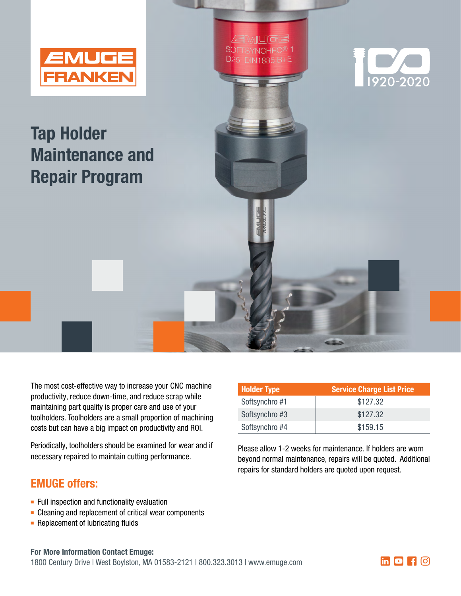

## Tap Holder Maintenance and Repair Program

The most cost-effective way to increase your CNC machine productivity, reduce down-time, and reduce scrap while maintaining part quality is proper care and use of your toolholders. Toolholders are a small proportion of machining costs but can have a big impact on productivity and ROI.

Periodically, toolholders should be examined for wear and if necessary repaired to maintain cutting performance.

## EMUGE offers:

- $\blacksquare$  Full inspection and functionality evaluation
- $\blacksquare$  Cleaning and replacement of critical wear components
- $\blacksquare$  Replacement of lubricating fluids

| <b>Holder Type</b> | <b>Service Charge List Price</b> |  |
|--------------------|----------------------------------|--|
| Softsynchro #1     | \$127.32                         |  |
| Softsynchro #3     | \$127.32                         |  |
| Softsynchro #4     | \$159.15                         |  |

**EMUG** SOFTSYNCHRO® 1

**D25 DIN1835 B+E** 

Please allow 1-2 weeks for maintenance. If holders are worn beyond normal maintenance, repairs will be quoted. Additional repairs for standard holders are quoted upon request.

## For More Information Contact Emuge:

1800 Century Drive | West Boylston, MA 01583-2121 | 800.323.3013 | www.emuge.com **http://www.emuge.com** 



1920-2020